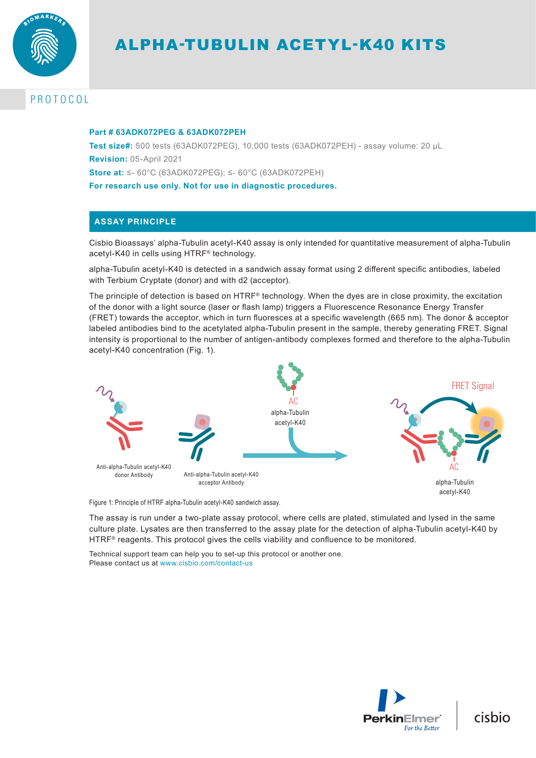

# ALPHA-TUBULIN ACETYL-K40 KITS

# PROTOCOL

## **Part # 63ADK072PEG & 63ADK072PEH**

**Test size#:** 500 tests (63ADK072PEG), 10,000 tests (63ADK072PEH) - assay volume: 20 µL **Revision:** 05-April 2021 **Store at:** ≤- 60°C (63ADK072PEG); ≤- 60°C (63ADK072PEH) **For research use only. Not for use in diagnostic procedures.**

# **ASSAY PRINCIPLE**

Cisbio Bioassays' alpha-Tubulin acetyl-K40 assay is only intended for quantitative measurement of alpha-Tubulin acetyl-K40 in cells using HTRF® technology.

alpha-Tubulin acetyl-K40 is detected in a sandwich assay format using 2 different specific antibodies, labeled with Terbium Cryptate (donor) and with d2 (acceptor).

The principle of detection is based on HTRF® technology. When the dyes are in close proximity, the excitation of the donor with a light source (laser or flash lamp) triggers a Fluorescence Resonance Energy Transfer (FRET) towards the acceptor, which in turn fluoresces at a specific wavelength (665 nm). The donor & acceptor labeled antibodies bind to the acetylated alpha-Tubulin present in the sample, thereby generating FRET. Signal intensity is proportional to the number of antigen-antibody complexes formed and therefore to the alpha-Tubulin acetyl-K40 concentration (Fig. 1).



Figure 1: Principle of HTRF alpha-Tubulin acetyl-K40 sandwich assay.

The assay is run under a two-plate assay protocol, where cells are plated, stimulated and lysed in the same culture plate. Lysates are then transferred to the assay plate for the detection of alpha-Tubulin acetyl-K40 by HTRF<sup>®</sup> reagents. This protocol gives the cells viability and confluence to be monitored.

Technical support team can help you to set-up this protocol or another one. Please contact us at www.cisbio.com/contact-us



cisbio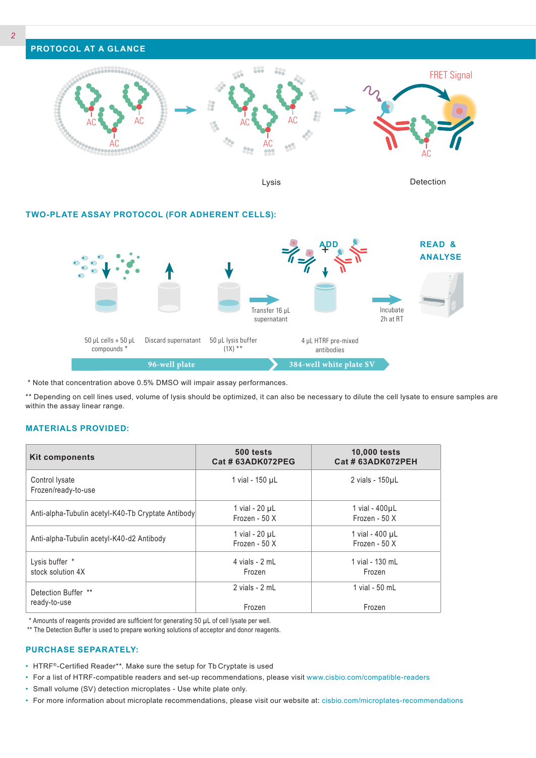

Lysis Detection

## **TWO-PLATE ASSAY PROTOCOL (FOR ADHERENT CELLS):**



\* Note that concentration above 0.5% DMSO will impair assay performances.

\*\* Depending on cell lines used, volume of lysis should be optimized, it can also be necessary to dilute the cell lysate to ensure samples are within the assay linear range.

## **MATERIALS PROVIDED:**

| <b>Kit components</b>                              | 500 tests<br>Cat # 63ADK072PEG       | <b>10,000 tests</b><br>Cat # 63ADK072PEH |
|----------------------------------------------------|--------------------------------------|------------------------------------------|
| Control Iysate<br>Frozen/ready-to-use              | 1 vial - 150 µL                      | 2 vials - 150µL                          |
| Anti-alpha-Tubulin acetyl-K40-Tb Cryptate Antibody | 1 vial - $20 \mu L$<br>Frozen - 50 X | 1 vial - 400µL<br>Frozen - 50 X          |
| Anti-alpha-Tubulin acetyl-K40-d2 Antibody          | 1 vial - $20 \mu L$<br>Frozen - 50 X | 1 vial - 400 µL<br>Frozen - 50 X         |
| Lysis buffer *<br>stock solution 4X                | 4 vials - 2 mL<br>Frozen             | 1 vial - 130 mL<br>Frozen                |
| Detection Buffer **<br>ready-to-use                | 2 vials - 2 mL<br>Frozen             | 1 vial - 50 mL<br>Frozen                 |

\* Amounts of reagents provided are sufficient for generating 50 µL of cell lysate per well.

\*\* The Detection Buffer is used to prepare working solutions of acceptor and donor reagents.

#### **PURCHASE SEPARATELY:**

- HTRF®-Certified Reader\*\*. Make sure the setup for Tb Cryptate is used
- For a list of HTRF-compatible readers and set-up recommendations, please visit www.cisbio.com/compatible-readers
- Small volume (SV) detection microplates Use white plate only.
- For more information about microplate recommendations, please visit our website at: cisbio.com/microplates-recommendations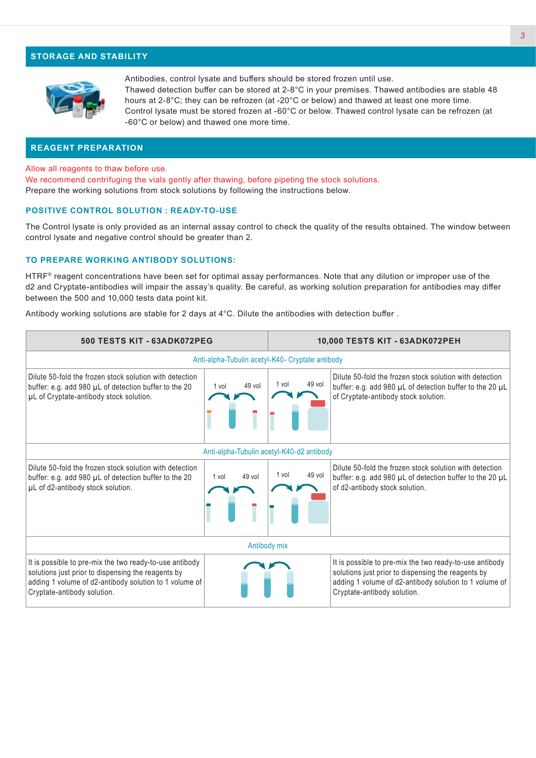## **STORAGE AND STABILITY**



Antibodies, control lysate and buffers should be stored frozen until use. Thawed detection buffer can be stored at 2-8°C in your premises. Thawed antibodies are stable 48 hours at 2-8°C; they can be refrozen (at -20°C or below) and thawed at least one more time. Control lysate must be stored frozen at -60°C or below. Thawed control lysate can be refrozen (at -60°C or below) and thawed one more time.

### **REAGENT PREPARATION**

Allow all reagents to thaw before use.

We recommend centrifuging the vials gently after thawing, before pipeting the stock solutions. Prepare the working solutions from stock solutions by following the instructions below.

#### **POSITIVE CONTROL SOLUTION : READY-TO-USE**

The Control lysate is only provided as an internal assay control to check the quality of the results obtained. The window between control lysate and negative control should be greater than 2.

#### **TO PREPARE WORKING ANTIBODY SOLUTIONS:**

HTRF® reagent concentrations have been set for optimal assay performances. Note that any dilution or improper use of the d2 and Cryptate-antibodies will impair the assay's quality. Be careful, as working solution preparation for antibodies may differ between the 500 and 10,000 tests data point kit.

Antibody working solutions are stable for 2 days at 4°C. Dilute the antibodies with detection buffer .

| 500 TESTS KIT - 63ADK072PEG                                                                                                                                                                            |                 | 10,000 TESTS KIT - 63ADK072PEH |                                                                                                                                                                                                        |  |  |  |  |
|--------------------------------------------------------------------------------------------------------------------------------------------------------------------------------------------------------|-----------------|--------------------------------|--------------------------------------------------------------------------------------------------------------------------------------------------------------------------------------------------------|--|--|--|--|
| Anti-alpha-Tubulin acetyl-K40- Cryptate antibody                                                                                                                                                       |                 |                                |                                                                                                                                                                                                        |  |  |  |  |
| Dilute 50-fold the frozen stock solution with detection<br>buffer: e.g. add 980 µL of detection buffer to the 20<br>µL of Cryptate-antibody stock solution.                                            | 49 vol<br>1 vol | 49 vol<br>1 vol                | Dilute 50-fold the frozen stock solution with detection<br>buffer: e.g. add 980 µL of detection buffer to the 20 µL<br>of Cryptate-antibody stock solution.                                            |  |  |  |  |
| Anti-alpha-Tubulin acetyl-K40-d2 antibody                                                                                                                                                              |                 |                                |                                                                                                                                                                                                        |  |  |  |  |
| Dilute 50-fold the frozen stock solution with detection<br>buffer: e.g. add 980 µL of detection buffer to the 20<br>µL of d2-antibody stock solution.                                                  | 49 vol<br>1 vol | 49 vol<br>1 vol                | Dilute 50-fold the frozen stock solution with detection<br>buffer: e.g. add 980 µL of detection buffer to the 20 µL<br>of d2-antibody stock solution.                                                  |  |  |  |  |
| Antibody mix                                                                                                                                                                                           |                 |                                |                                                                                                                                                                                                        |  |  |  |  |
| It is possible to pre-mix the two ready-to-use antibody<br>solutions just prior to dispensing the reagents by<br>adding 1 volume of d2-antibody solution to 1 volume of<br>Cryptate-antibody solution. |                 |                                | It is possible to pre-mix the two ready-to-use antibody<br>solutions just prior to dispensing the reagents by<br>adding 1 volume of d2-antibody solution to 1 volume of<br>Cryptate-antibody solution. |  |  |  |  |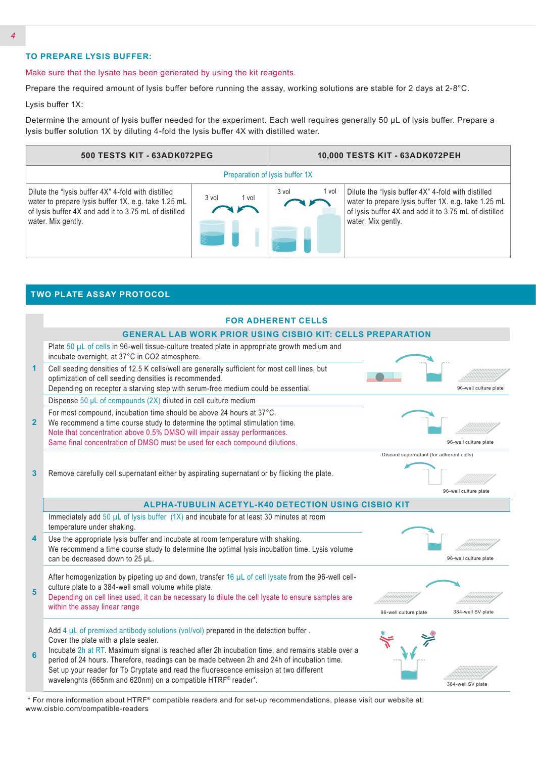# **TO PREPARE LYSIS BUFFER:**

**TWO PLATE ASSAY PROTOCOL**

#### Make sure that the lysate has been generated by using the kit reagents.

Prepare the required amount of lysis buffer before running the assay, working solutions are stable for 2 days at 2-8°C.

Lysis buffer 1X:

Determine the amount of lysis buffer needed for the experiment. Each well requires generally 50 µL of lysis buffer. Prepare a lysis buffer solution 1X by diluting 4-fold the lysis buffer 4X with distilled water.



|                | <b>FOR ADHERENT CELLS</b>                                                                                                                                                                                                                                                                                                                                                                                                                                                                    |                                          |                       |  |  |  |  |
|----------------|----------------------------------------------------------------------------------------------------------------------------------------------------------------------------------------------------------------------------------------------------------------------------------------------------------------------------------------------------------------------------------------------------------------------------------------------------------------------------------------------|------------------------------------------|-----------------------|--|--|--|--|
|                | <b>GENERAL LAB WORK PRIOR USING CISBIO KIT: CELLS PREPARATION</b>                                                                                                                                                                                                                                                                                                                                                                                                                            |                                          |                       |  |  |  |  |
|                | Plate 50 µL of cells in 96-well tissue-culture treated plate in appropriate growth medium and<br>incubate overnight, at 37°C in CO2 atmosphere.                                                                                                                                                                                                                                                                                                                                              |                                          |                       |  |  |  |  |
| 1              | Cell seeding densities of 12.5 K cells/well are generally sufficient for most cell lines, but<br>optimization of cell seeding densities is recommended.<br>Depending on receptor a starving step with serum-free medium could be essential.                                                                                                                                                                                                                                                  |                                          | 96-well culture plate |  |  |  |  |
|                |                                                                                                                                                                                                                                                                                                                                                                                                                                                                                              |                                          |                       |  |  |  |  |
|                | Dispense 50 µL of compounds (2X) diluted in cell culture medium                                                                                                                                                                                                                                                                                                                                                                                                                              |                                          |                       |  |  |  |  |
| 2 <sup>2</sup> | For most compound, incubation time should be above 24 hours at 37°C.<br>We recommend a time course study to determine the optimal stimulation time.<br>Note that concentration above 0.5% DMSO will impair assay performances.                                                                                                                                                                                                                                                               |                                          |                       |  |  |  |  |
|                | Same final concentration of DMSO must be used for each compound dilutions.                                                                                                                                                                                                                                                                                                                                                                                                                   |                                          | 96-well culture plate |  |  |  |  |
| 3              | Remove carefully cell supernatant either by aspirating supernatant or by flicking the plate.                                                                                                                                                                                                                                                                                                                                                                                                 | Discard supernatant (for adherent cells) | 96-well culture plate |  |  |  |  |
|                | <b>ALPHA-TUBULIN ACETYL-K40 DETECTION USING CISBIO KIT</b>                                                                                                                                                                                                                                                                                                                                                                                                                                   |                                          |                       |  |  |  |  |
|                | Immediately add 50 µL of lysis buffer (1X) and incubate for at least 30 minutes at room<br>temperature under shaking.                                                                                                                                                                                                                                                                                                                                                                        |                                          |                       |  |  |  |  |
| 4              | Use the appropriate lysis buffer and incubate at room temperature with shaking.<br>We recommend a time course study to determine the optimal lysis incubation time. Lysis volume<br>can be decreased down to 25 µL.                                                                                                                                                                                                                                                                          |                                          | 96-well culture plate |  |  |  |  |
| 5              | After homogenization by pipeting up and down, transfer 16 $\mu$ L of cell lysate from the 96-well cell-<br>culture plate to a 384-well small volume white plate.<br>Depending on cell lines used, it can be necessary to dilute the cell lysate to ensure samples are<br>within the assay linear range                                                                                                                                                                                       | 96-well culture plate                    | 384-well SV plate     |  |  |  |  |
|                |                                                                                                                                                                                                                                                                                                                                                                                                                                                                                              |                                          |                       |  |  |  |  |
| 6              | Add $4 \mu L$ of premixed antibody solutions (vol/vol) prepared in the detection buffer.<br>Cover the plate with a plate sealer.<br>Incubate 2h at RT. Maximum signal is reached after 2h incubation time, and remains stable over a<br>period of 24 hours. Therefore, readings can be made between 2h and 24h of incubation time.<br>Set up your reader for Tb Cryptate and read the fluorescence emission at two different<br>wavelenghts (665nm and 620nm) on a compatible HTRF® reader*. |                                          | 384-well SV plate     |  |  |  |  |

 \* For more information about HTRF® compatible readers and for set-up recommendations, please visit our website at: www.cisbio.com/compatible-readers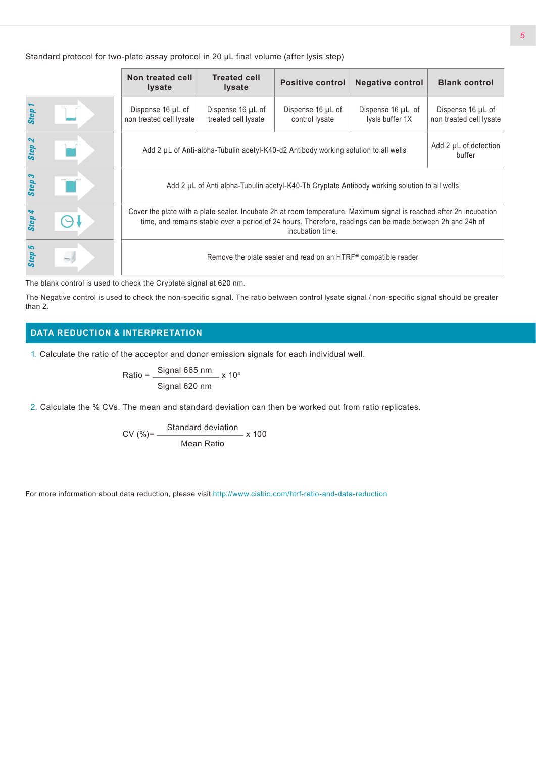Standard protocol for two-plate assay protocol in 20 µL final volume (after lysis step)

|        | Non treated cell<br><b>Iysate</b>                                                                                                                                                                                                                    | <b>Treated cell</b><br><b>Positive control</b><br><b>Iysate</b> |                                     | <b>Negative control</b>              | <b>Blank control</b>                         |
|--------|------------------------------------------------------------------------------------------------------------------------------------------------------------------------------------------------------------------------------------------------------|-----------------------------------------------------------------|-------------------------------------|--------------------------------------|----------------------------------------------|
| Step   | Dispense 16 µL of<br>non treated cell lysate                                                                                                                                                                                                         | Dispense 16 µL of<br>treated cell lysate                        | Dispense 16 µL of<br>control lysate | Dispense 16 µL of<br>lysis buffer 1X | Dispense 16 µL of<br>non treated cell lysate |
| Step 2 | Add 2 µL of detection<br>Add 2 µL of Anti-alpha-Tubulin acetyl-K40-d2 Antibody working solution to all wells<br>buffer                                                                                                                               |                                                                 |                                     |                                      |                                              |
| Step 3 | Add 2 µL of Anti alpha-Tubulin acetyl-K40-Tb Cryptate Antibody working solution to all wells                                                                                                                                                         |                                                                 |                                     |                                      |                                              |
| Step 4 | Cover the plate with a plate sealer. Incubate 2h at room temperature. Maximum signal is reached after 2h incubation<br>time, and remains stable over a period of 24 hours. Therefore, readings can be made between 2h and 24h of<br>incubation time. |                                                                 |                                     |                                      |                                              |
| Step 5 | Remove the plate sealer and read on an HTRF® compatible reader                                                                                                                                                                                       |                                                                 |                                     |                                      |                                              |

The blank control is used to check the Cryptate signal at 620 nm.

The Negative control is used to check the non-specific signal. The ratio between control lysate signal / non-specific signal should be greater than 2.

# **DATA REDUCTION & INTERPRETATION**

1. Calculate the ratio of the acceptor and donor emission signals for each individual well.

Ratio = 
$$
\frac{\text{Signal 665 nm}}{\text{Signal 620 nm}} \times 10^4
$$

2. Calculate the % CVs. The mean and standard deviation can then be worked out from ratio replicates.

$$
CV (%) = \frac{Standard deviation}{Mean Ratio} \times 100
$$

For more information about data reduction, please visit http://www.cisbio.com/htrf-ratio-and-data-reduction